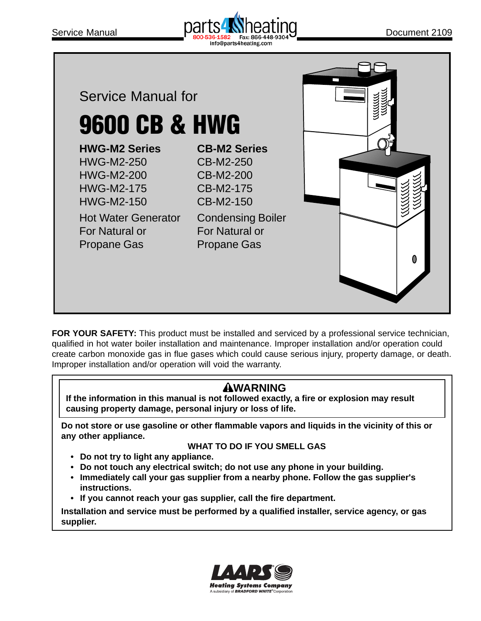



**FOR YOUR SAFETY:** This product must be installed and serviced by a professional service technician, qualified in hot water boiler installation and maintenance. Improper installation and/or operation could create carbon monoxide gas in flue gases which could cause serious injury, property damage, or death. Improper installation and/or operation will void the warranty.

# **AWARNING**

**If the information in this manual is not followed exactly, a fire or explosion may result causing property damage, personal injury or loss of life.**

**Do not store or use gasoline or other flammable vapors and liquids in the vicinity of this or any other appliance.**

## **WHAT TO DO IF YOU SMELL GAS**

- **Do not try to light any appliance.**
- **Do not touch any electrical switch; do not use any phone in your building.**
- **Immediately call your gas supplier from a nearby phone. Follow the gas supplier's instructions.**
- **If you cannot reach your gas supplier, call the fire department.**

**Installation and service must be performed by a qualified installer, service agency, or gas supplier.**

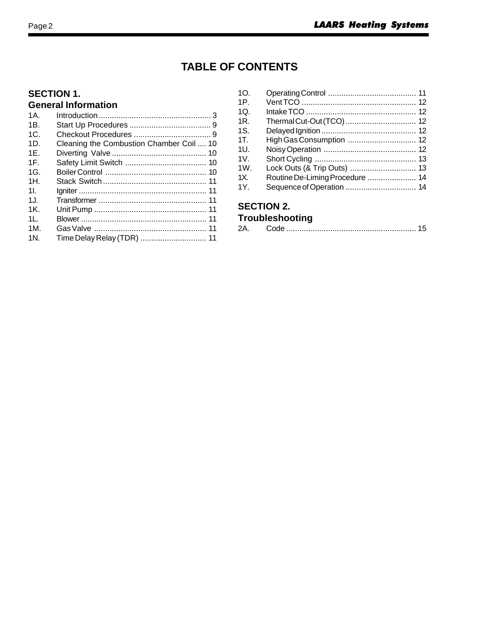# **TABLE OF CONTENTS**

#### **SECTION 1. General Information**

|                 | <u>Gelleral IIII. Ori III. allull</u>    |
|-----------------|------------------------------------------|
| 1A.             |                                          |
| 1B.             |                                          |
| 1C.             |                                          |
| 1D.             | Cleaning the Combustion Chamber Coil  10 |
| 1E.             |                                          |
| 1F.             |                                          |
| 1G.             |                                          |
| 1H              |                                          |
| 11              |                                          |
| 1J.             |                                          |
| 1K              |                                          |
| 11              |                                          |
| 1M <sub>1</sub> |                                          |
| 1N.             |                                          |
|                 |                                          |

| 10.             |                                 |  |
|-----------------|---------------------------------|--|
| 1P.             |                                 |  |
| 1Q.             |                                 |  |
| 1R.             |                                 |  |
| 1S.             |                                 |  |
| 1T.             |                                 |  |
| 1U.             |                                 |  |
| 1V <sub>1</sub> |                                 |  |
| 1W.             |                                 |  |
| 1X.             | Routine De-Liming Procedure  14 |  |
| 1Y.             |                                 |  |
|                 |                                 |  |

## **SECTION 2.**

|  |  | Troubleshooting |  |
|--|--|-----------------|--|
|  |  |                 |  |

| ິ |  |  |
|---|--|--|
|---|--|--|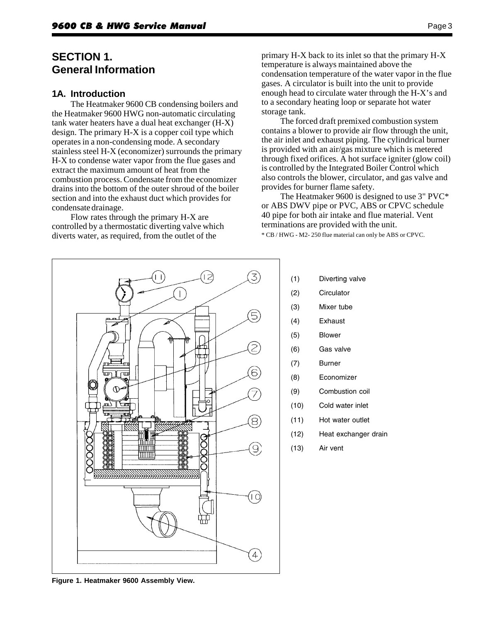## **SECTION 1. General Information**

#### **1A. Introduction**

The Heatmaker 9600 CB condensing boilers and the Heatmaker 9600 HWG non-automatic circulating tank water heaters have a dual heat exchanger (H-X) design. The primary H-X is a copper coil type which operates in a non-condensing mode. A secondary stainless steel H-X (economizer) surrounds the primary H-X to condense water vapor from the flue gases and extract the maximum amount of heat from the combustion process. Condensate from the economizer drains into the bottom of the outer shroud of the boiler section and into the exhaust duct which provides for condensate drainage.

Flow rates through the primary H-X are controlled by a thermostatic diverting valve which diverts water, as required, from the outlet of the

primary H-X back to its inlet so that the primary H-X temperature is always maintained above the condensation temperature of the water vapor in the flue gases. A circulator is built into the unit to provide enough head to circulate water through the H-X's and to a secondary heating loop or separate hot water storage tank.

The forced draft premixed combustion system contains a blower to provide air flow through the unit, the air inlet and exhaust piping. The cylindrical burner is provided with an air/gas mixture which is metered through fixed orifices. A hot surface igniter (glow coil) is controlled by the Integrated Boiler Control which also controls the blower, circulator, and gas valve and provides for burner flame safety.

The Heatmaker 9600 is designed to use 3" PVC\* or ABS DWV pipe or PVC, ABS or CPVC schedule 40 pipe for both air intake and flue material. Vent terminations are provided with the unit. \* CB / HWG - M2- 250 flue material can only be ABS or CPVC.



- (1) Diverting valve
- (2) Circulator
- (3) Mixer tube
- (4) Exhaust
- (5) Blower
- (6) Gas valve
- (7) Burner
- (8) Economizer
- (9) Combustion coil
- (10) Cold water inlet
- (11) Hot water outlet
- (12) Heat exchanger drain
- (13) Air vent

**Figure 1. Heatmaker 9600 Assembly View.**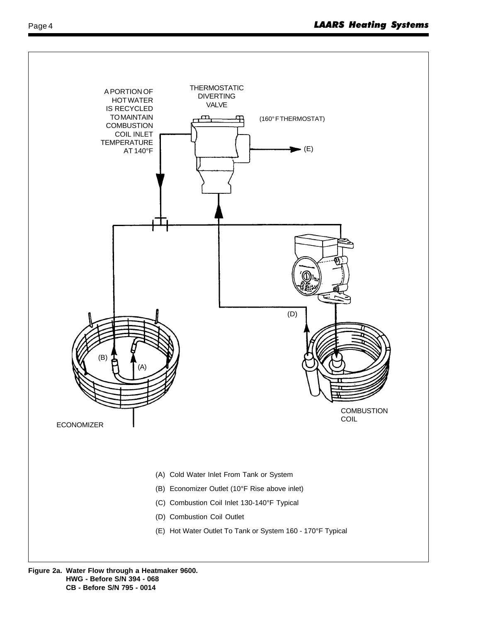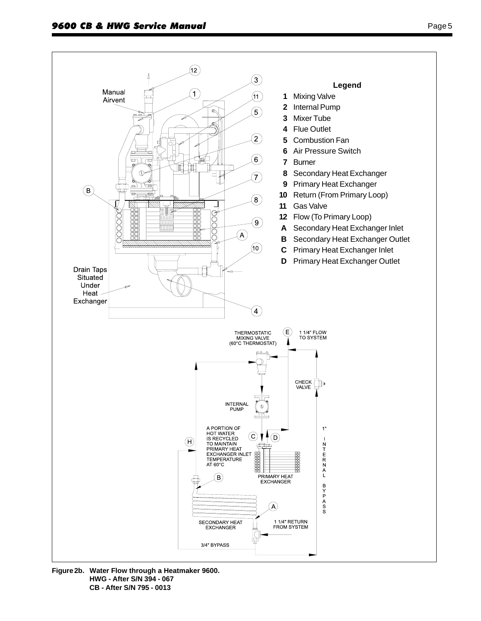

**Figure 2b. Water Flow through a Heatmaker 9600. HWG - After S/N 394 - 067 CB - After S/N 795 - 0013**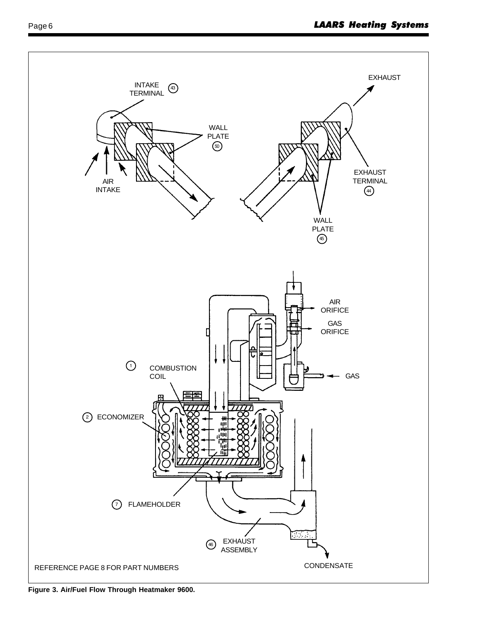

**Figure 3. Air/Fuel Flow Through Heatmaker 9600.**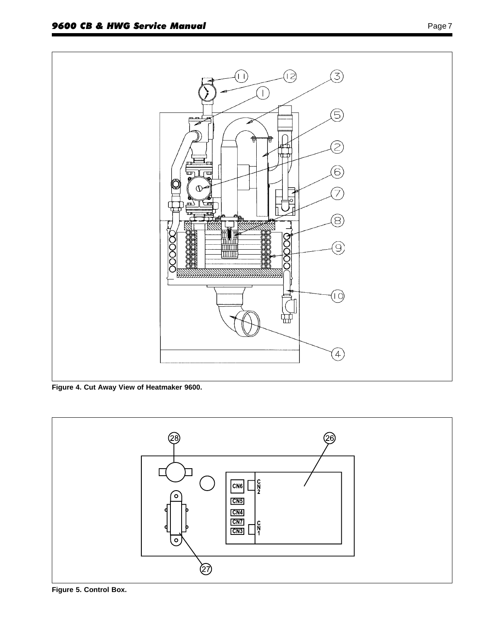

**Figure 4. Cut Away View of Heatmaker 9600.**



**Figure 5. Control Box.**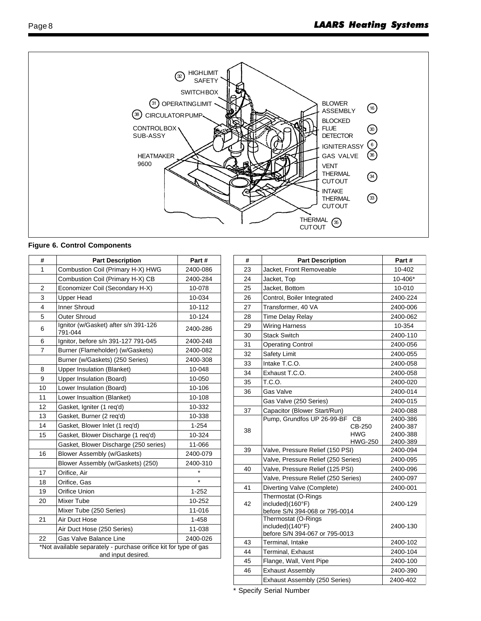

#### **Figure 6. Control Components**

| #                                                                                      | <b>Part Description</b>                         | Part#     |  |
|----------------------------------------------------------------------------------------|-------------------------------------------------|-----------|--|
| 1                                                                                      | Combustion Coil (Primary H-X) HWG               | 2400-086  |  |
|                                                                                        | Combustion Coil (Primary H-X) CB                | 2400-284  |  |
| 2                                                                                      | Economizer Coil (Secondary H-X)                 | 10-078    |  |
| 3                                                                                      | <b>Upper Head</b>                               | 10-034    |  |
| 4                                                                                      | <b>Inner Shroud</b>                             | 10-112    |  |
| 5                                                                                      | Outer Shroud                                    | 10-124    |  |
| 6                                                                                      | Ignitor (w/Gasket) after s/n 391-126<br>791-044 | 2400-286  |  |
| 6                                                                                      | Ignitor, before s/n 391-127 791-045             | 2400-248  |  |
| $\overline{7}$                                                                         | Burner (Flameholder) (w/Gaskets)                | 2400-082  |  |
|                                                                                        | Burner (w/Gaskets) (250 Series)                 | 2400-308  |  |
| 8                                                                                      | Upper Insulation (Blanket)                      | 10-048    |  |
| 9                                                                                      | Upper Insulation (Board)                        | 10-050    |  |
| 10                                                                                     | Lower Insulation (Board)                        | 10-106    |  |
| 11                                                                                     | Lower Insualtion (Blanket)                      | 10-108    |  |
| 12                                                                                     | Gasket, Igniter (1 req'd)                       | 10-332    |  |
| 13                                                                                     | Gasket, Burner (2 req'd)                        | 10-338    |  |
| 14                                                                                     | Gasket, Blower Inlet (1 req'd)                  | $1 - 254$ |  |
| 15                                                                                     | Gasket, Blower Discharge (1 req'd)              | 10-324    |  |
|                                                                                        | Gasket, Blower Discharge (250 series)           | 11-066    |  |
| 16                                                                                     | Blower Assembly (w/Gaskets)                     | 2400-079  |  |
|                                                                                        | Blower Assembly (w/Gaskets) (250)               | 2400-310  |  |
| 17                                                                                     | Orifice, Air                                    |           |  |
| 18                                                                                     | Orifice, Gas                                    | $\star$   |  |
| 19                                                                                     | Orifice Union                                   | $1 - 252$ |  |
| 20                                                                                     | Mixer Tube                                      | 10-252    |  |
|                                                                                        | Mixer Tube (250 Series)                         | 11-016    |  |
| 21                                                                                     | Air Duct Hose                                   | $1 - 458$ |  |
|                                                                                        | Air Duct Hose (250 Series)                      | 11-038    |  |
| 22                                                                                     | Gas Valve Balance Line                          | 2400-026  |  |
| *Not available separately - purchase orifice kit for type of gas<br>and input desired. |                                                 |           |  |

| #  | <b>Part Description</b>                               | Part#    |
|----|-------------------------------------------------------|----------|
| 23 | Jacket, Front Removeable                              | 10-402   |
| 24 | Jacket, Top                                           | 10-406*  |
| 25 | Jacket, Bottom                                        | 10-010   |
| 26 | Control, Boiler Integrated                            | 2400-224 |
| 27 | Transformer, 40 VA                                    | 2400-006 |
| 28 | <b>Time Delay Relay</b>                               | 2400-062 |
| 29 | <b>Wiring Harness</b>                                 | 10-354   |
| 30 | <b>Stack Switch</b>                                   | 2400-110 |
| 31 | <b>Operating Control</b>                              | 2400-056 |
| 32 | <b>Safety Limit</b>                                   | 2400-055 |
| 33 | Intake T.C.O.                                         | 2400-058 |
| 34 | Exhaust T.C.O.                                        | 2400-058 |
| 35 | T.C.O.                                                | 2400-020 |
| 36 | <b>Gas Valve</b>                                      | 2400-014 |
|    | Gas Valve (250 Series)                                | 2400-015 |
| 37 | Capacitor (Blower Start/Run)                          | 2400-088 |
|    | Pump, Grundfos UP 26-99-BF<br><b>CB</b>               | 2400-386 |
| 38 | CB-250                                                | 2400-387 |
|    | <b>HWG</b>                                            | 2400-388 |
|    | <b>HWG-250</b>                                        | 2400-389 |
| 39 | Valve, Pressure Relief (150 PSI)                      | 2400-094 |
|    | Valve, Pressure Relief (250 Series)                   | 2400-095 |
| 40 | Valve, Pressure Relief (125 PSI)                      | 2400-096 |
|    | Valve, Pressure Relief (250 Series)                   | 2400-097 |
| 41 | Diverting Valve (Complete)                            | 2400-001 |
|    | Thermostat (O-Rings                                   |          |
| 42 | included)(160°F)                                      | 2400-129 |
|    | before S/N 394-068 or 795-0014<br>Thermostat (O-Rings |          |
|    | included)(140°F)                                      | 2400-130 |
|    | before S/N 394-067 or 795-0013                        |          |
| 43 | Terminal, Intake                                      | 2400-102 |
| 44 | <b>Terminal, Exhaust</b>                              | 2400-104 |
| 45 | Flange, Wall, Vent Pipe                               | 2400-100 |
| 46 | <b>Exhaust Assembly</b>                               | 2400-390 |
|    | Exhaust Assembly (250 Series)                         | 2400-402 |

\* Specify Serial Number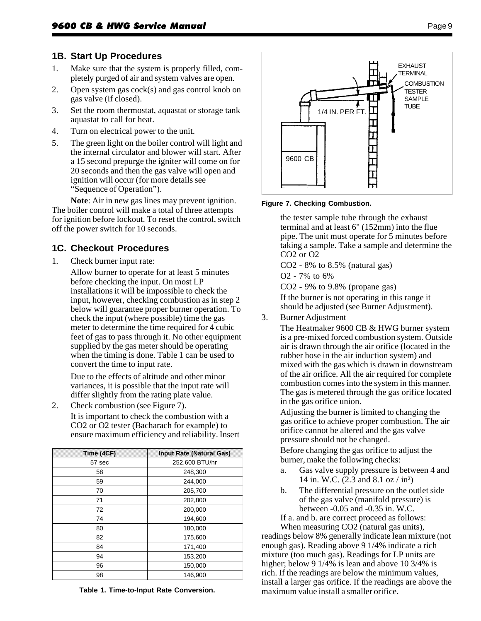#### **1B. Start Up Procedures**

- 1. Make sure that the system is properly filled, completely purged of air and system valves are open.
- 2. Open system gas cock(s) and gas control knob on gas valve (if closed).
- 3. Set the room thermostat, aquastat or storage tank aquastat to call for heat.
- 4. Turn on electrical power to the unit.
- 5. The green light on the boiler control will light and the internal circulator and blower will start. After a 15 second prepurge the igniter will come on for 20 seconds and then the gas valve will open and ignition will occur (for more details see "Sequence of Operation").

**Note**: Air in new gas lines may prevent ignition. The boiler control will make a total of three attempts for ignition before lockout. To reset the control, switch off the power switch for 10 seconds.

### **1C. Checkout Procedures**

1. Check burner input rate:

Allow burner to operate for at least 5 minutes before checking the input. On most LP installations it will be impossible to check the input, however, checking combustion as in step 2 below will guarantee proper burner operation. To check the input (where possible) time the gas meter to determine the time required for 4 cubic feet of gas to pass through it. No other equipment supplied by the gas meter should be operating when the timing is done. Table 1 can be used to convert the time to input rate.

Due to the effects of altitude and other minor variances, it is possible that the input rate will differ slightly from the rating plate value.

2. Check combustion (see Figure 7). It is important to check the combustion with a CO2 or O2 tester (Bacharach for example) to ensure maximum efficiency and reliability. Insert

| Time (4CF) | <b>Input Rate (Natural Gas)</b> |
|------------|---------------------------------|
| 57 sec     | 252,600 BTU/hr                  |
| 58         | 248,300                         |
| 59         | 244,000                         |
| 70         | 205,700                         |
| 71         | 202,800                         |
| 72         | 200,000                         |
| 74         | 194,600                         |
| 80         | 180,000                         |
| 82         | 175,600                         |
| 84         | 171,400                         |
| 94         | 153,200                         |
| 96         | 150,000                         |
| 98         | 146,900                         |

**Table 1. Time-to-Input Rate Conversion.**



**Figure 7. Checking Combustion.**

the tester sample tube through the exhaust terminal and at least 6" (152mm) into the flue pipe. The unit must operate for 5 minutes before taking a sample. Take a sample and determine the CO2 or O2

CO2 - 8% to 8.5% (natural gas)

O2 - 7% to 6%

CO2 - 9% to 9.8% (propane gas)

If the burner is not operating in this range it should be adjusted (see Burner Adjustment).

3. Burner Adjustment

The Heatmaker 9600 CB & HWG burner system is a pre-mixed forced combustion system. Outside air is drawn through the air orifice (located in the rubber hose in the air induction system) and mixed with the gas which is drawn in downstream of the air orifice. All the air required for complete combustion comes into the system in this manner. The gas is metered through the gas orifice located in the gas orifice union.

Adjusting the burner is limited to changing the gas orifice to achieve proper combustion. The air orifice cannot be altered and the gas valve pressure should not be changed.

Before changing the gas orifice to adjust the burner, make the following checks:

- a. Gas valve supply pressure is between 4 and 14 in. W.C. (2.3 and 8.1 oz / in²)
- b. The differential pressure on the outlet side of the gas valve (manifold pressure) is between -0.05 and -0.35 in. W.C.

If a. and b. are correct proceed as follows:

When measuring CO2 (natural gas units), readings below 8% generally indicate lean mixture (not enough gas). Reading above 9 1/4% indicate a rich mixture (too much gas). Readings for LP units are higher; below 9 1/4% is lean and above 10 3/4% is rich. If the readings are below the minimum values, install a larger gas orifice. If the readings are above the maximum value install a smaller orifice.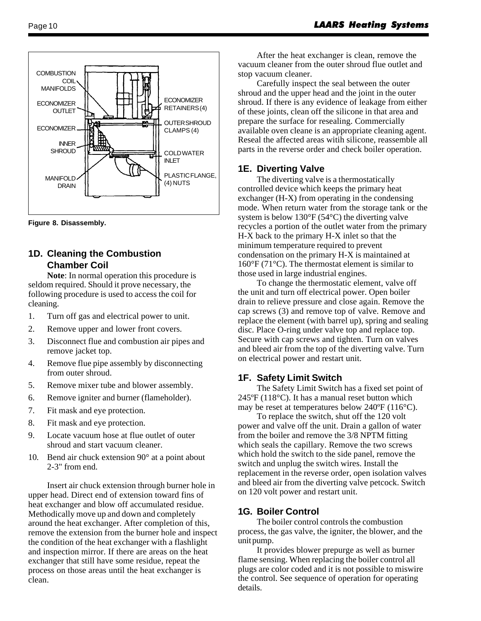

**Figure 8. Disassembly.**

## **1D. Cleaning the Combustion Chamber Coil**

**Note**: In normal operation this procedure is seldom required. Should it prove necessary, the following procedure is used to access the coil for cleaning.

- 1. Turn off gas and electrical power to unit.
- 2. Remove upper and lower front covers.
- 3. Disconnect flue and combustion air pipes and remove jacket top.
- 4. Remove flue pipe assembly by disconnecting from outer shroud.
- 5. Remove mixer tube and blower assembly.
- 6. Remove igniter and burner (flameholder).
- 7. Fit mask and eye protection.
- 8. Fit mask and eye protection.
- 9. Locate vacuum hose at flue outlet of outer shroud and start vacuum cleaner.
- 10. Bend air chuck extension 90° at a point about 2-3" from end.

Insert air chuck extension through burner hole in upper head. Direct end of extension toward fins of heat exchanger and blow off accumulated residue. Methodically move up and down and completely around the heat exchanger. After completion of this, remove the extension from the burner hole and inspect the condition of the heat exchanger with a flashlight and inspection mirror. If there are areas on the heat exchanger that still have some residue, repeat the process on those areas until the heat exchanger is clean.

After the heat exchanger is clean, remove the vacuum cleaner from the outer shroud flue outlet and stop vacuum cleaner.

Carefully inspect the seal between the outer shroud and the upper head and the joint in the outer shroud. If there is any evidence of leakage from either of these joints, clean off the silicone in that area and prepare the surface for resealing. Commercially available oven cleane is an appropriate cleaning agent. Reseal the affected areas witih silicone, reassemble all parts in the reverse order and check boiler operation.

### **1E. Diverting Valve**

The diverting valve is a thermostatically controlled device which keeps the primary heat exchanger (H-X) from operating in the condensing mode. When return water from the storage tank or the system is below 130°F (54°C) the diverting valve recycles a portion of the outlet water from the primary H-X back to the primary H-X inlet so that the minimum temperature required to prevent condensation on the primary H-X is maintained at 160°F (71°C). The thermostat element is similar to those used in large industrial engines.

To change the thermostatic element, valve off the unit and turn off electrical power. Open boiler drain to relieve pressure and close again. Remove the cap screws (3) and remove top of valve. Remove and replace the element (with barrel up), spring and sealing disc. Place O-ring under valve top and replace top. Secure with cap screws and tighten. Turn on valves and bleed air from the top of the diverting valve. Turn on electrical power and restart unit.

### **1F. Safety Limit Switch**

The Safety Limit Switch has a fixed set point of 245ºF (118°C). It has a manual reset button which may be reset at temperatures below 240ºF (116°C).

To replace the switch, shut off the 120 volt power and valve off the unit. Drain a gallon of water from the boiler and remove the 3/8 NPTM fitting which seals the capillary. Remove the two screws which hold the switch to the side panel, remove the switch and unplug the switch wires. Install the replacement in the reverse order, open isolation valves and bleed air from the diverting valve petcock. Switch on 120 volt power and restart unit.

## **1G. Boiler Control**

The boiler control controls the combustion process, the gas valve, the igniter, the blower, and the unit pump.

It provides blower prepurge as well as burner flame sensing. When replacing the boiler control all plugs are color coded and it is not possible to miswire the control. See sequence of operation for operating details.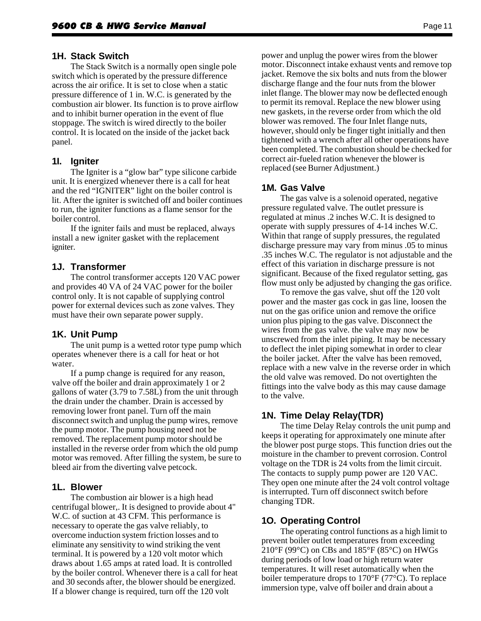#### **1H. Stack Switch**

The Stack Switch is a normally open single pole switch which is operated by the pressure difference across the air orifice. It is set to close when a static pressure difference of 1 in. W.C. is generated by the combustion air blower. Its function is to prove airflow and to inhibit burner operation in the event of flue stoppage. The switch is wired directly to the boiler control. It is located on the inside of the jacket back panel.

#### **1I. Igniter**

The Igniter is a "glow bar" type silicone carbide unit. It is energized whenever there is a call for heat and the red "IGNITER" light on the boiler control is lit. After the igniter is switched off and boiler continues to run, the igniter functions as a flame sensor for the boiler control.

If the igniter fails and must be replaced, always install a new igniter gasket with the replacement igniter.

#### **1J. Transformer**

The control transformer accepts 120 VAC power and provides 40 VA of 24 VAC power for the boiler control only. It is not capable of supplying control power for external devices such as zone valves. They must have their own separate power supply.

#### **1K. Unit Pump**

The unit pump is a wetted rotor type pump which operates whenever there is a call for heat or hot water.

If a pump change is required for any reason, valve off the boiler and drain approximately 1 or 2 gallons of water (3.79 to 7.58L) from the unit through the drain under the chamber. Drain is accessed by removing lower front panel. Turn off the main disconnect switch and unplug the pump wires, remove the pump motor. The pump housing need not be removed. The replacement pump motor should be installed in the reverse order from which the old pump motor was removed. After filling the system, be sure to bleed air from the diverting valve petcock.

#### **1L. Blower**

The combustion air blower is a high head centrifugal blower,. It is designed to provide about 4" W.C. of suction at 43 CFM. This performance is necessary to operate the gas valve reliably, to overcome induction system friction losses and to eliminate any sensitivity to wind striking the vent terminal. It is powered by a 120 volt motor which draws about 1.65 amps at rated load. It is controlled by the boiler control. Whenever there is a call for heat and 30 seconds after, the blower should be energized. If a blower change is required, turn off the 120 volt

power and unplug the power wires from the blower motor. Disconnect intake exhaust vents and remove top jacket. Remove the six bolts and nuts from the blower discharge flange and the four nuts from the blower inlet flange. The blower may now be deflected enough to permit its removal. Replace the new blower using new gaskets, in the reverse order from which the old blower was removed. The four Inlet flange nuts, however, should only be finger tight initially and then tightened with a wrench after all other operations have been completed. The combustion should be checked for correct air-fueled ration whenever the blower is replaced (see Burner Adjustment.)

#### **1M. Gas Valve**

The gas valve is a solenoid operated, negative pressure regulated valve. The outlet pressure is regulated at minus .2 inches W.C. It is designed to operate with supply pressures of 4-14 inches W.C. Within that range of supply pressures, the regulated discharge pressure may vary from minus .05 to minus .35 inches W.C. The regulator is not adjustable and the effect of this variation in discharge pressure is not significant. Because of the fixed regulator setting, gas flow must only be adjusted by changing the gas orifice.

To remove the gas valve, shut off the 120 volt power and the master gas cock in gas line, loosen the nut on the gas orifice union and remove the orifice union plus piping to the gas valve. Disconnect the wires from the gas valve. the valve may now be unscrewed from the inlet piping. It may be necessary to deflect the inlet piping somewhat in order to clear the boiler jacket. After the valve has been removed, replace with a new valve in the reverse order in which the old valve was removed. Do not overtighten the fittings into the valve body as this may cause damage to the valve.

#### **1N. Time Delay Relay(TDR)**

The time Delay Relay controls the unit pump and keeps it operating for approximately one minute after the blower post purge stops. This function dries out the moisture in the chamber to prevent corrosion. Control voltage on the TDR is 24 volts from the limit circuit. The contacts to supply pump power are 120 VAC. They open one minute after the 24 volt control voltage is interrupted. Turn off disconnect switch before changing TDR.

#### **1O. Operating Control**

The operating control functions as a high limit to prevent boiler outlet temperatures from exceeding  $210^{\circ}$ F (99 $^{\circ}$ C) on CBs and 185 $^{\circ}$ F (85 $^{\circ}$ C) on HWGs during periods of low load or high return water temperatures. It will reset automatically when the boiler temperature drops to 170°F (77°C). To replace immersion type, valve off boiler and drain about a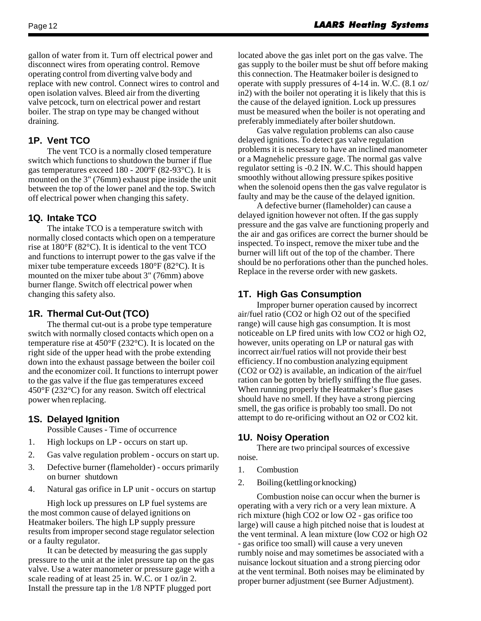gallon of water from it. Turn off electrical power and disconnect wires from operating control. Remove operating control from diverting valve body and replace with new control. Connect wires to control and open isolation valves. Bleed air from the diverting valve petcock, turn on electrical power and restart boiler. The strap on type may be changed without draining.

## **1P. Vent TCO**

The vent TCO is a normally closed temperature switch which functions to shutdown the burner if flue gas temperatures exceed 180 - 200ºF (82-93°C). It is mounted on the 3" (76mm) exhaust pipe inside the unit between the top of the lower panel and the top. Switch off electrical power when changing this safety.

## **1Q. Intake TCO**

The intake TCO is a temperature switch with normally closed contacts which open on a temperature rise at 180°F (82°C). It is identical to the vent TCO and functions to interrupt power to the gas valve if the mixer tube temperature exceeds 180°F (82°C). It is mounted on the mixer tube about 3" (76mm) above burner flange. Switch off electrical power when changing this safety also.

## **1R. Thermal Cut-Out (TCO)**

The thermal cut-out is a probe type temperature switch with normally closed contacts which open on a temperature rise at 450°F (232°C). It is located on the right side of the upper head with the probe extending down into the exhaust passage between the boiler coil and the economizer coil. It functions to interrupt power to the gas valve if the flue gas temperatures exceed 450°F (232°C) for any reason. Switch off electrical power when replacing.

## **1S. Delayed Ignition**

Possible Causes - Time of occurrence

- 1. High lockups on LP occurs on start up.
- 2. Gas valve regulation problem occurs on start up.
- 3. Defective burner (flameholder) occurs primarily on burner shutdown
- 4. Natural gas orifice in LP unit occurs on startup

High lock up pressures on LP fuel systems are the most common cause of delayed ignitions on Heatmaker boilers. The high LP supply pressure results from improper second stage regulator selection or a faulty regulator.

It can be detected by measuring the gas supply pressure to the unit at the inlet pressure tap on the gas valve. Use a water manometer or pressure gage with a scale reading of at least 25 in. W.C. or 1 oz/in 2. Install the pressure tap in the 1/8 NPTF plugged port

located above the gas inlet port on the gas valve. The gas supply to the boiler must be shut off before making this connection. The Heatmaker boiler is designed to operate with supply pressures of 4-14 in. W.C. (8.1 oz/ in2) with the boiler not operating it is likely that this is the cause of the delayed ignition. Lock up pressures must be measured when the boiler is not operating and preferably immediately after boiler shutdown.

Gas valve regulation problems can also cause delayed ignitions. To detect gas valve regulation problems it is necessary to have an inclined manometer or a Magnehelic pressure gage. The normal gas valve regulator setting is -0.2 IN. W.C. This should happen smoothly without allowing pressure spikes positive when the solenoid opens then the gas valve regulator is faulty and may be the cause of the delayed ignition.

A defective burner (flameholder) can cause a delayed ignition however not often. If the gas supply pressure and the gas valve are functioning properly and the air and gas orifices are correct the burner should be inspected. To inspect, remove the mixer tube and the burner will lift out of the top of the chamber. There should be no perforations other than the punched holes. Replace in the reverse order with new gaskets.

## **1T. High Gas Consumption**

Improper burner operation caused by incorrect air/fuel ratio (CO2 or high O2 out of the specified range) will cause high gas consumption. It is most noticeable on LP fired units with low CO2 or high O2, however, units operating on LP or natural gas with incorrect air/fuel ratios will not provide their best efficiency. If no combustion analyzing equipment (CO2 or O2) is available, an indication of the air/fuel ration can be gotten by briefly sniffing the flue gases. When running properly the Heatmaker's flue gases should have no smell. If they have a strong piercing smell, the gas orifice is probably too small. Do not attempt to do re-orificing without an O2 or CO2 kit.

### **1U. Noisy Operation**

There are two principal sources of excessive noise.

- 1. Combustion
- 2. Boiling (kettling or knocking)

Combustion noise can occur when the burner is operating with a very rich or a very lean mixture. A rich mixture (high CO2 or low O2 - gas orifice too large) will cause a high pitched noise that is loudest at the vent terminal. A lean mixture (low CO2 or high O2 - gas orifice too small) will cause a very uneven rumbly noise and may sometimes be associated with a nuisance lockout situation and a strong piercing odor at the vent terminal. Both noises may be eliminated by proper burner adjustment (see Burner Adjustment).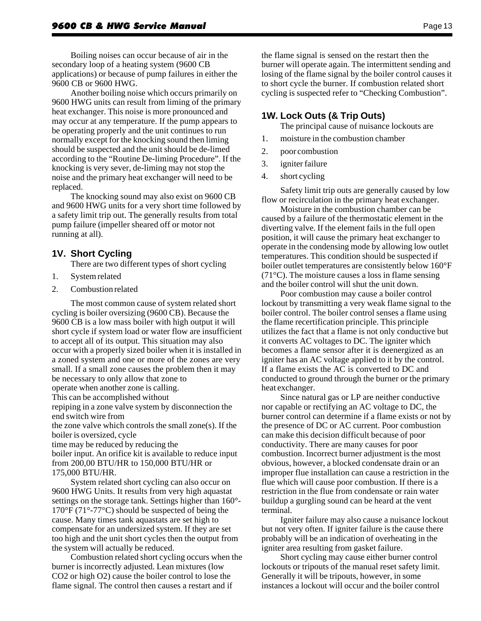Boiling noises can occur because of air in the secondary loop of a heating system (9600 CB applications) or because of pump failures in either the 9600 CB or 9600 HWG.

Another boiling noise which occurs primarily on 9600 HWG units can result from liming of the primary heat exchanger. This noise is more pronounced and may occur at any temperature. If the pump appears to be operating properly and the unit continues to run normally except for the knocking sound then liming should be suspected and the unit should be de-limed according to the "Routine De-liming Procedure". If the knocking is very sever, de-liming may not stop the noise and the primary heat exchanger will need to be replaced.

The knocking sound may also exist on 9600 CB and 9600 HWG units for a very short time followed by a safety limit trip out. The generally results from total pump failure (impeller sheared off or motor not running at all).

### **1V. Short Cycling**

There are two different types of short cycling

- 1. System related
- 2. Combustion related

The most common cause of system related short cycling is boiler oversizing (9600 CB). Because the 9600 CB is a low mass boiler with high output it will short cycle if system load or water flow are insufficient to accept all of its output. This situation may also occur with a properly sized boiler when it is installed in a zoned system and one or more of the zones are very small. If a small zone causes the problem then it may be necessary to only allow that zone to operate when another zone is calling. This can be accomplished without repiping in a zone valve system by disconnection the end switch wire from the zone valve which controls the small zone(s). If the boiler is oversized, cycle

time may be reduced by reducing the boiler input. An orifice kit is available to reduce input from 200,00 BTU/HR to 150,000 BTU/HR or 175,000 BTU/HR.

System related short cycling can also occur on 9600 HWG Units. It results from very high aquastat settings on the storage tank. Settings higher than 160°- 170°F (71°-77°C) should be suspected of being the cause. Many times tank aquastats are set high to compensate for an undersized system. If they are set too high and the unit short cycles then the output from the system will actually be reduced.

Combustion related short cycling occurs when the burner is incorrectly adjusted. Lean mixtures (low CO2 or high O2) cause the boiler control to lose the flame signal. The control then causes a restart and if

the flame signal is sensed on the restart then the burner will operate again. The intermittent sending and losing of the flame signal by the boiler control causes it to short cycle the burner. If combustion related short cycling is suspected refer to "Checking Combustion".

### **1W. Lock Outs (& Trip Outs)**

The principal cause of nuisance lockouts are

- 1. moisture in the combustion chamber
- 2. poor combustion
- 3. igniter failure
- 4. short cycling

Safety limit trip outs are generally caused by low flow or recirculation in the primary heat exchanger.

Moisture in the combustion chamber can be caused by a failure of the thermostatic element in the diverting valve. If the element fails in the full open position, it will cause the primary heat exchanger to operate in the condensing mode by allowing low outlet temperatures. This condition should be suspected if boiler outlet temperatures are consistently below 160°F  $(71^{\circ}$ C). The moisture causes a loss in flame sensing and the boiler control will shut the unit down.

Poor combustion may cause a boiler control lockout by transmitting a very weak flame signal to the boiler control. The boiler control senses a flame using the flame recertification principle. This principle utilizes the fact that a flame is not only conductive but it converts AC voltages to DC. The igniter which becomes a flame sensor after it is deenergized as an igniter has an AC voltage applied to it by the control. If a flame exists the AC is converted to DC and conducted to ground through the burner or the primary heat exchanger.

Since natural gas or LP are neither conductive nor capable or rectifying an AC voltage to DC, the burner control can determine if a flame exists or not by the presence of DC or AC current. Poor combustion can make this decision difficult because of poor conductivity. There are many causes for poor combustion. Incorrect burner adjustment is the most obvious, however, a blocked condensate drain or an improper flue installation can cause a restriction in the flue which will cause poor combustion. If there is a restriction in the flue from condensate or rain water buildup a gurgling sound can be heard at the vent terminal.

Igniter failure may also cause a nuisance lockout but not very often. If igniter failure is the cause there probably will be an indication of overheating in the igniter area resulting from gasket failure.

Short cycling may cause either burner control lockouts or tripouts of the manual reset safety limit. Generally it will be tripouts, however, in some instances a lockout will occur and the boiler control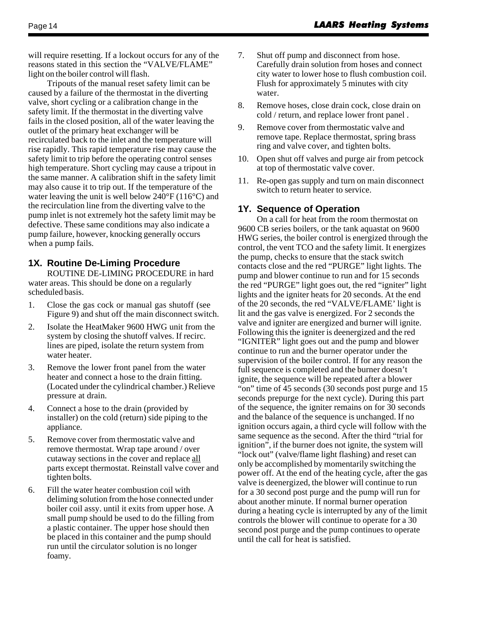will require resetting. If a lockout occurs for any of the reasons stated in this section the "VALVE/FLAME" light on the boiler control will flash.

Tripouts of the manual reset safety limit can be caused by a failure of the thermostat in the diverting valve, short cycling or a calibration change in the safety limit. If the thermostat in the diverting valve fails in the closed position, all of the water leaving the outlet of the primary heat exchanger will be recirculated back to the inlet and the temperature will rise rapidly. This rapid temperature rise may cause the safety limit to trip before the operating control senses high temperature. Short cycling may cause a tripout in the same manner. A calibration shift in the safety limit may also cause it to trip out. If the temperature of the water leaving the unit is well below 240°F (116°C) and the recirculation line from the diverting valve to the pump inlet is not extremely hot the safety limit may be defective. These same conditions may also indicate a pump failure, however, knocking generally occurs when a pump fails.

### **1X. Routine De-Liming Procedure**

ROUTINE DE-LIMING PROCEDURE in hard water areas. This should be done on a regularly scheduled basis.

- 1. Close the gas cock or manual gas shutoff (see Figure 9) and shut off the main disconnect switch.
- 2. Isolate the HeatMaker 9600 HWG unit from the system by closing the shutoff valves. If recirc. lines are piped, isolate the return system from water heater.
- 3. Remove the lower front panel from the water heater and connect a hose to the drain fitting. (Located under the cylindrical chamber.) Relieve pressure at drain.
- 4. Connect a hose to the drain (provided by installer) on the cold (return) side piping to the appliance.
- 5. Remove cover from thermostatic valve and remove thermostat. Wrap tape around / over cutaway sections in the cover and replace all parts except thermostat. Reinstall valve cover and tighten bolts.
- 6. Fill the water heater combustion coil with deliming solution from the hose connected under boiler coil assy. until it exits from upper hose. A small pump should be used to do the filling from a plastic container. The upper hose should then be placed in this container and the pump should run until the circulator solution is no longer foamy.
- 7. Shut off pump and disconnect from hose. Carefully drain solution from hoses and connect city water to lower hose to flush combustion coil. Flush for approximately 5 minutes with city water.
- 8. Remove hoses, close drain cock, close drain on cold / return, and replace lower front panel .
- 9. Remove cover from thermostatic valve and remove tape. Replace thermostat, spring brass ring and valve cover, and tighten bolts.
- 10. Open shut off valves and purge air from petcock at top of thermostatic valve cover.
- 11. Re-open gas supply and turn on main disconnect switch to return heater to service.

#### **1Y. Sequence of Operation**

On a call for heat from the room thermostat on 9600 CB series boilers, or the tank aquastat on 9600 HWG series, the boiler control is energized through the control, the vent TCO and the safety limit. It energizes the pump, checks to ensure that the stack switch contacts close and the red "PURGE" light lights. The pump and blower continue to run and for 15 seconds the red "PURGE" light goes out, the red "igniter" light lights and the igniter heats for 20 seconds. At the end of the 20 seconds, the red "VALVE/FLAME' light is lit and the gas valve is energized. For 2 seconds the valve and igniter are energized and burner will ignite. Following this the igniter is deenergized and the red "IGNITER" light goes out and the pump and blower continue to run and the burner operator under the supervision of the boiler control. If for any reason the full sequence is completed and the burner doesn't ignite, the sequence will be repeated after a blower "on" time of 45 seconds (30 seconds post purge and 15 seconds prepurge for the next cycle). During this part of the sequence, the igniter remains on for 30 seconds and the balance of the sequence is unchanged. If no ignition occurs again, a third cycle will follow with the same sequence as the second. After the third "trial for ignition", if the burner does not ignite, the system will "lock out" (valve/flame light flashing) and reset can only be accomplished by momentarily switching the power off. At the end of the heating cycle, after the gas valve is deenergized, the blower will continue to run for a 30 second post purge and the pump will run for about another minute. If normal burner operation during a heating cycle is interrupted by any of the limit controls the blower will continue to operate for a 30 second post purge and the pump continues to operate until the call for heat is satisfied.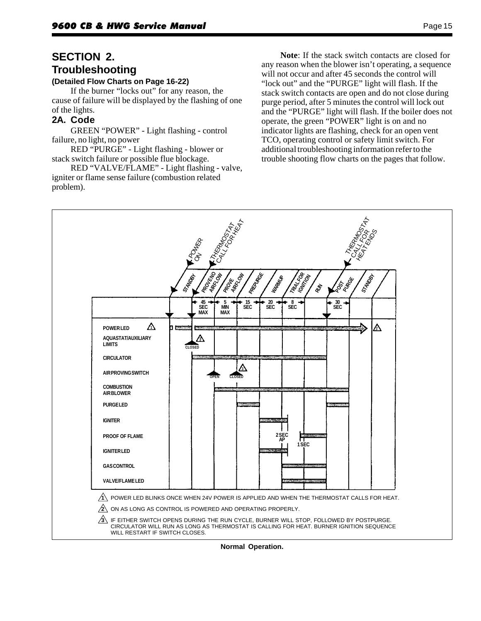# **SECTION 2. Troubleshooting**

#### **(Detailed Flow Charts on Page 16-22)**

If the burner "locks out" for any reason, the cause of failure will be displayed by the flashing of one of the lights.

### **2A. Code**

GREEN "POWER" - Light flashing - control failure, no light, no power

RED "PURGE" - Light flashing - blower or stack switch failure or possible flue blockage.

RED "VALVE/FLAME" - Light flashing - valve, igniter or flame sense failure (combustion related problem).

**Note**: If the stack switch contacts are closed for any reason when the blower isn't operating, a sequence will not occur and after 45 seconds the control will "lock out" and the "PURGE" light will flash. If the stack switch contacts are open and do not close during purge period, after 5 minutes the control will lock out and the "PURGE" light will flash. If the boiler does not operate, the green "POWER" light is on and no indicator lights are flashing, check for an open vent TCO, operating control or safety limit switch. For additional troubleshooting information refer to the trouble shooting flow charts on the pages that follow.



**Normal Operation.**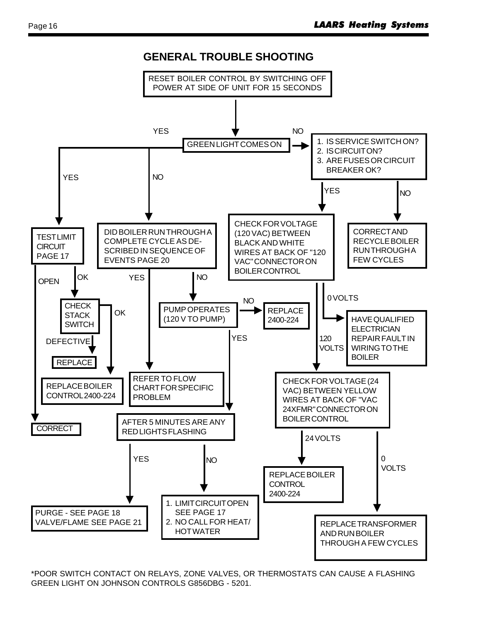

\*POOR SWITCH CONTACT ON RELAYS, ZONE VALVES, OR THERMOSTATS CAN CAUSE A FLASHING GREEN LIGHT ON JOHNSON CONTROLS G856DBG - 5201.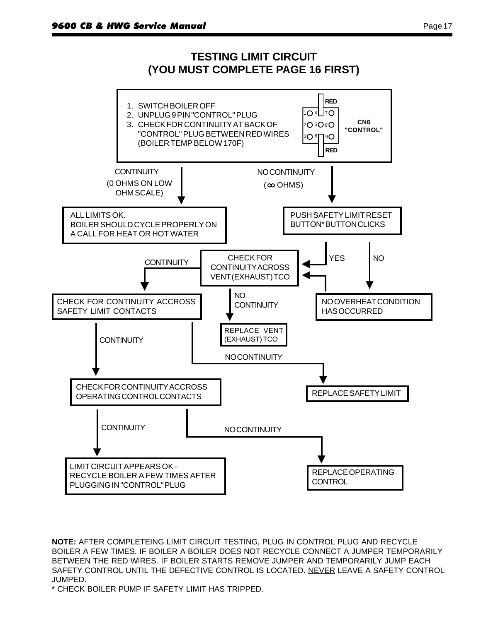# **TESTING LIMIT CIRCUIT (YOU MUST COMPLETE PAGE 16 FIRST)**



**NOTE:** AFTER COMPLETEING LIMIT CIRCUIT TESTING, PLUG IN CONTROL PLUG AND RECYCLE BOILER A FEW TIMES. IF BOILER A BOILER DOES NOT RECYCLE CONNECT A JUMPER TEMPORARILY BETWEEN THE RED WIRES. IF BOILER STARTS REMOVE JUMPER AND TEMPORARILY JUMP EACH SAFETY CONTROL UNTIL THE DEFECTIVE CONTROL IS LOCATED. NEVER LEAVE A SAFETY CONTROL JUMPED.

\* CHECK BOILER PUMP IF SAFETY LIMIT HAS TRIPPED.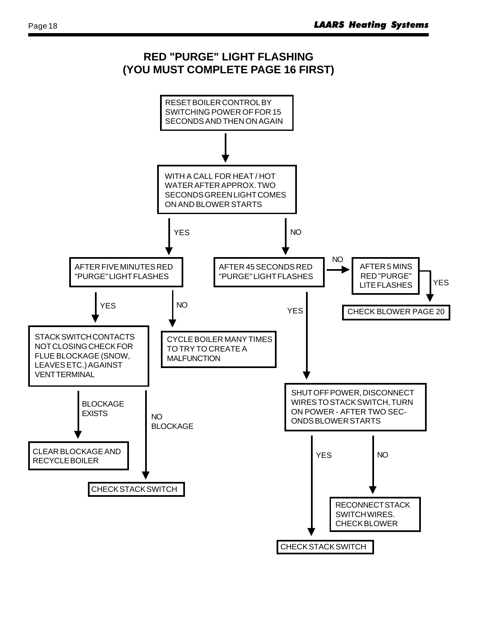# **RED "PURGE" LIGHT FLASHING (YOU MUST COMPLETE PAGE 16 FIRST)**

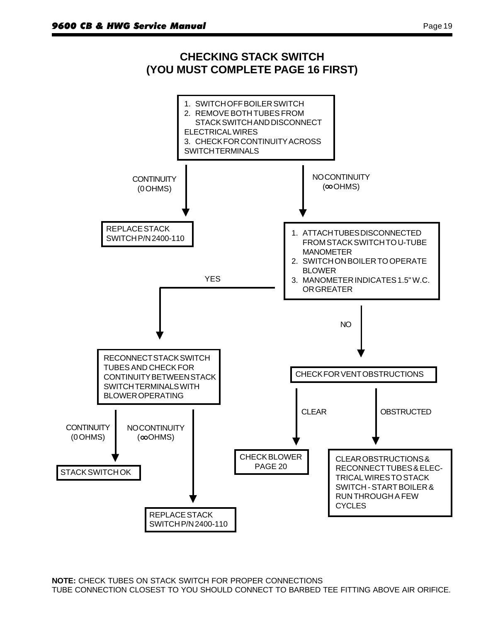

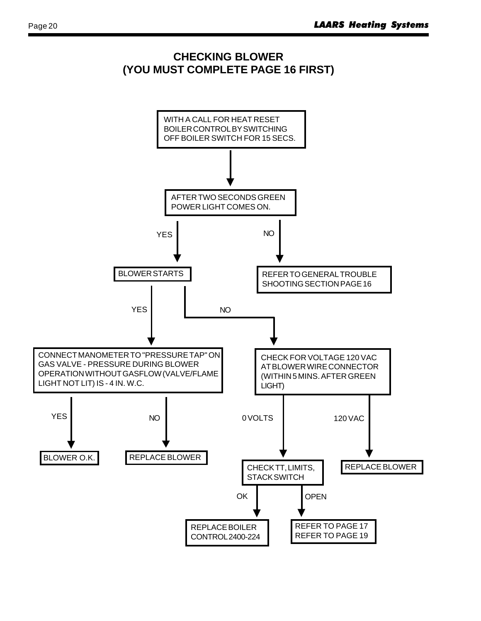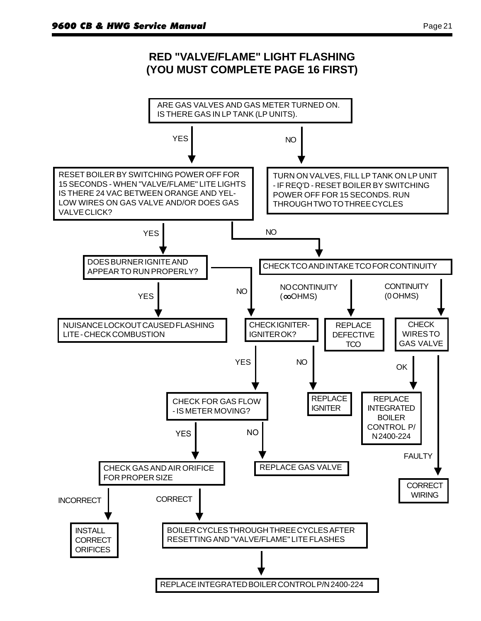# **RED "VALVE/FLAME" LIGHT FLASHING (YOU MUST COMPLETE PAGE 16 FIRST)**

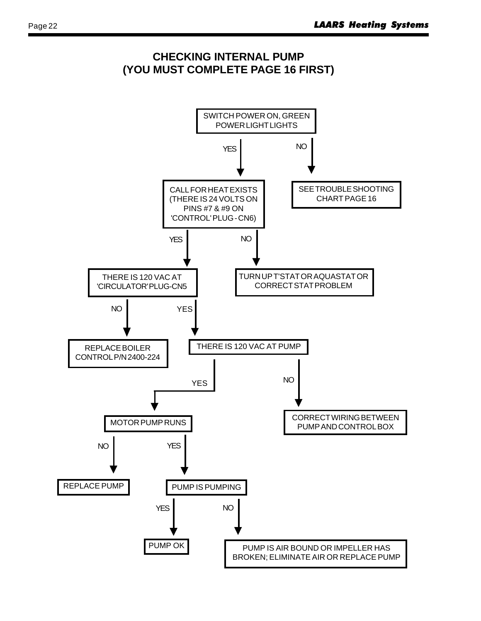# **CHECKING INTERNAL PUMP (YOU MUST COMPLETE PAGE 16 FIRST)**

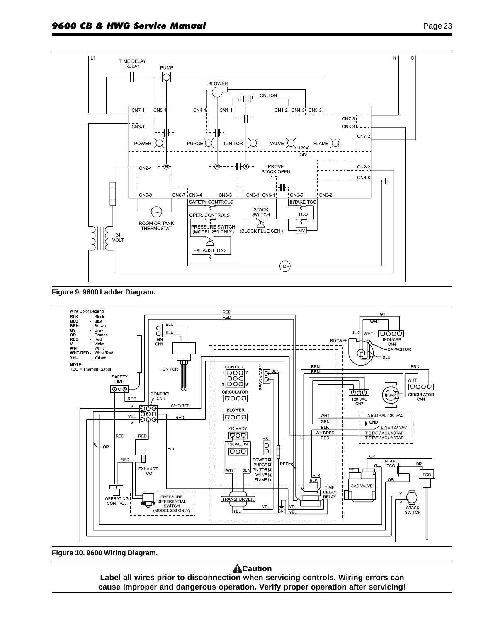

**Figure 9. 9600 Ladder Diagram.**



**Figure 10. 9600 Wiring Diagram.**

**A**Caution **Label all wires prior to disconnection when servicing controls. Wiring errors can cause improper and dangerous operation. Verify proper operation after servicing!**